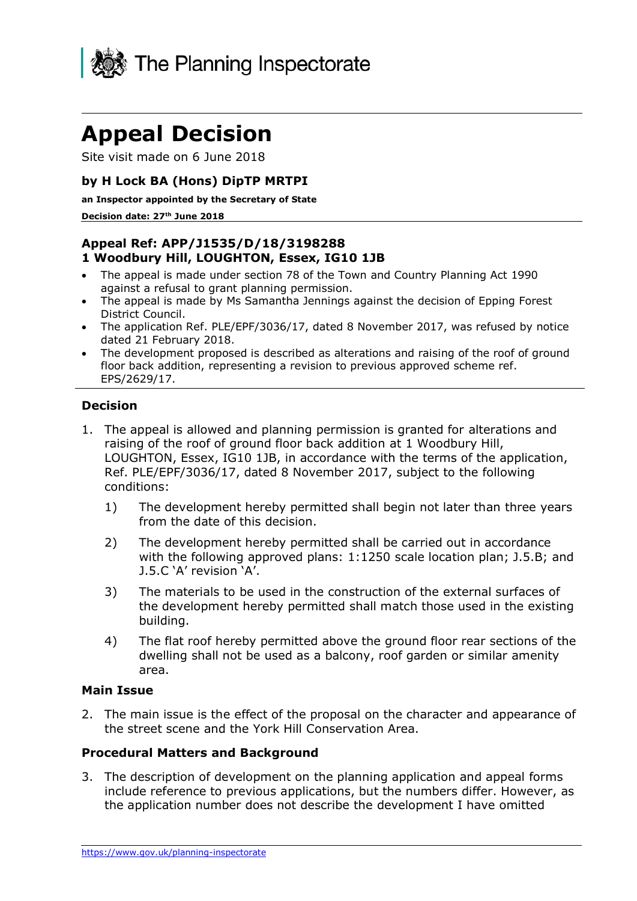

# **Appeal Decision**

Site visit made on 6 June 2018

## **by H Lock BA (Hons) DipTP MRTPI**

**an Inspector appointed by the Secretary of State**

#### **Decision date: 27th June 2018**

## **Appeal Ref: APP/J1535/D/18/3198288 1 Woodbury Hill, LOUGHTON, Essex, IG10 1JB**

- The appeal is made under section 78 of the Town and Country Planning Act 1990 against a refusal to grant planning permission.
- The appeal is made by Ms Samantha Jennings against the decision of Epping Forest District Council.
- The application Ref. PLE/EPF/3036/17, dated 8 November 2017, was refused by notice dated 21 February 2018.
- The development proposed is described as alterations and raising of the roof of ground floor back addition, representing a revision to previous approved scheme ref. EPS/2629/17.

## **Decision**

- 1. The appeal is allowed and planning permission is granted for alterations and raising of the roof of ground floor back addition at 1 Woodbury Hill, LOUGHTON, Essex, IG10 1JB, in accordance with the terms of the application, Ref. PLE/EPF/3036/17, dated 8 November 2017, subject to the following conditions:
	- 1) The development hereby permitted shall begin not later than three years from the date of this decision.
	- 2) The development hereby permitted shall be carried out in accordance with the following approved plans: 1:1250 scale location plan; J.5.B; and J.5.C 'A' revision 'A'.
	- 3) The materials to be used in the construction of the external surfaces of the development hereby permitted shall match those used in the existing building.
	- 4) The flat roof hereby permitted above the ground floor rear sections of the dwelling shall not be used as a balcony, roof garden or similar amenity area.

### **Main Issue**

2. The main issue is the effect of the proposal on the character and appearance of the street scene and the York Hill Conservation Area.

### **Procedural Matters and Background**

3. The description of development on the planning application and appeal forms include reference to previous applications, but the numbers differ. However, as the application number does not describe the development I have omitted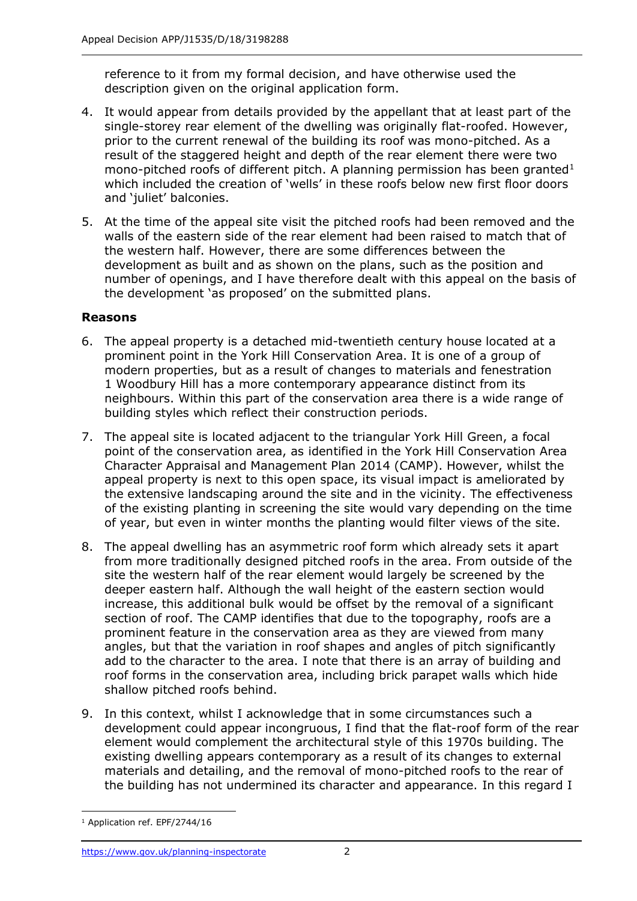reference to it from my formal decision, and have otherwise used the description given on the original application form.

- 4. It would appear from details provided by the appellant that at least part of the single-storey rear element of the dwelling was originally flat-roofed. However, prior to the current renewal of the building its roof was mono-pitched. As a result of the staggered height and depth of the rear element there were two mono-pitched roofs of different pitch. A planning permission has been granted $1$ which included the creation of 'wells' in these roofs below new first floor doors and 'iuliet' balconies.
- 5. At the time of the appeal site visit the pitched roofs had been removed and the walls of the eastern side of the rear element had been raised to match that of the western half. However, there are some differences between the development as built and as shown on the plans, such as the position and number of openings, and I have therefore dealt with this appeal on the basis of the development 'as proposed' on the submitted plans.

## **Reasons**

- 6. The appeal property is a detached mid-twentieth century house located at a prominent point in the York Hill Conservation Area. It is one of a group of modern properties, but as a result of changes to materials and fenestration 1 Woodbury Hill has a more contemporary appearance distinct from its neighbours. Within this part of the conservation area there is a wide range of building styles which reflect their construction periods.
- 7. The appeal site is located adjacent to the triangular York Hill Green, a focal point of the conservation area, as identified in the York Hill Conservation Area Character Appraisal and Management Plan 2014 (CAMP). However, whilst the appeal property is next to this open space, its visual impact is ameliorated by the extensive landscaping around the site and in the vicinity. The effectiveness of the existing planting in screening the site would vary depending on the time of year, but even in winter months the planting would filter views of the site.
- 8. The appeal dwelling has an asymmetric roof form which already sets it apart from more traditionally designed pitched roofs in the area. From outside of the site the western half of the rear element would largely be screened by the deeper eastern half. Although the wall height of the eastern section would increase, this additional bulk would be offset by the removal of a significant section of roof. The CAMP identifies that due to the topography, roofs are a prominent feature in the conservation area as they are viewed from many angles, but that the variation in roof shapes and angles of pitch significantly add to the character to the area. I note that there is an array of building and roof forms in the conservation area, including brick parapet walls which hide shallow pitched roofs behind.
- 9. In this context, whilst I acknowledge that in some circumstances such a development could appear incongruous, I find that the flat-roof form of the rear element would complement the architectural style of this 1970s building. The existing dwelling appears contemporary as a result of its changes to external materials and detailing, and the removal of mono-pitched roofs to the rear of the building has not undermined its character and appearance. In this regard I

 $\overline{a}$ <sup>1</sup> Application ref. EPF/2744/16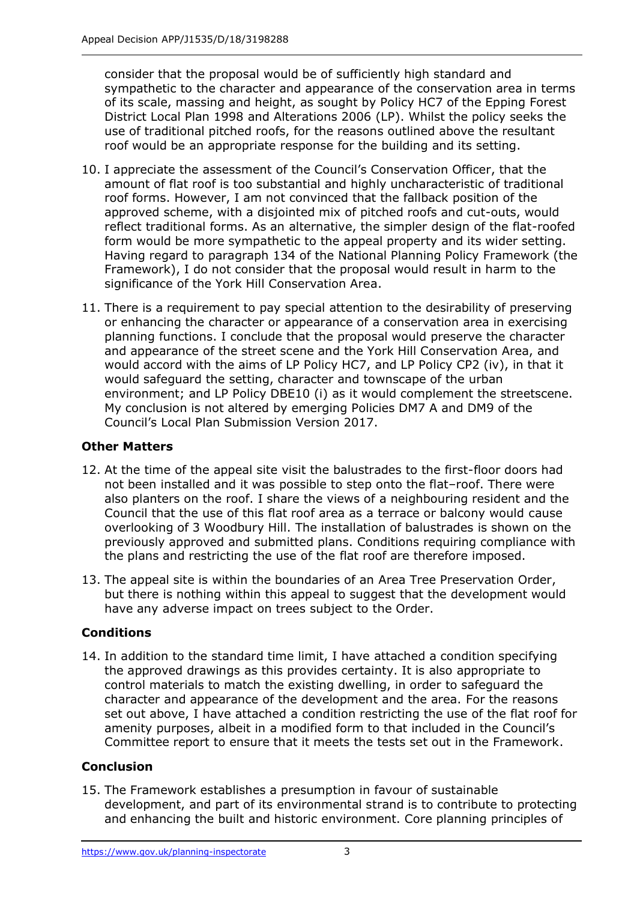consider that the proposal would be of sufficiently high standard and sympathetic to the character and appearance of the conservation area in terms of its scale, massing and height, as sought by Policy HC7 of the Epping Forest District Local Plan 1998 and Alterations 2006 (LP). Whilst the policy seeks the use of traditional pitched roofs, for the reasons outlined above the resultant roof would be an appropriate response for the building and its setting.

- 10. I appreciate the assessment of the Council's Conservation Officer, that the amount of flat roof is too substantial and highly uncharacteristic of traditional roof forms. However, I am not convinced that the fallback position of the approved scheme, with a disjointed mix of pitched roofs and cut-outs, would reflect traditional forms. As an alternative, the simpler design of the flat-roofed form would be more sympathetic to the appeal property and its wider setting. Having regard to paragraph 134 of the National Planning Policy Framework (the Framework), I do not consider that the proposal would result in harm to the significance of the York Hill Conservation Area.
- 11. There is a requirement to pay special attention to the desirability of preserving or enhancing the character or appearance of a conservation area in exercising planning functions. I conclude that the proposal would preserve the character and appearance of the street scene and the York Hill Conservation Area, and would accord with the aims of LP Policy HC7, and LP Policy CP2 (iv), in that it would safeguard the setting, character and townscape of the urban environment; and LP Policy DBE10 (i) as it would complement the streetscene. My conclusion is not altered by emerging Policies DM7 A and DM9 of the Council's Local Plan Submission Version 2017.

## **Other Matters**

- 12. At the time of the appeal site visit the balustrades to the first-floor doors had not been installed and it was possible to step onto the flat–roof. There were also planters on the roof. I share the views of a neighbouring resident and the Council that the use of this flat roof area as a terrace or balcony would cause overlooking of 3 Woodbury Hill. The installation of balustrades is shown on the previously approved and submitted plans. Conditions requiring compliance with the plans and restricting the use of the flat roof are therefore imposed.
- 13. The appeal site is within the boundaries of an Area Tree Preservation Order, but there is nothing within this appeal to suggest that the development would have any adverse impact on trees subject to the Order.

## **Conditions**

14. In addition to the standard time limit, I have attached a condition specifying the approved drawings as this provides certainty. It is also appropriate to control materials to match the existing dwelling, in order to safeguard the character and appearance of the development and the area. For the reasons set out above, I have attached a condition restricting the use of the flat roof for amenity purposes, albeit in a modified form to that included in the Council's Committee report to ensure that it meets the tests set out in the Framework.

## **Conclusion**

15. The Framework establishes a presumption in favour of sustainable development, and part of its environmental strand is to contribute to protecting and enhancing the built and historic environment. Core planning principles of